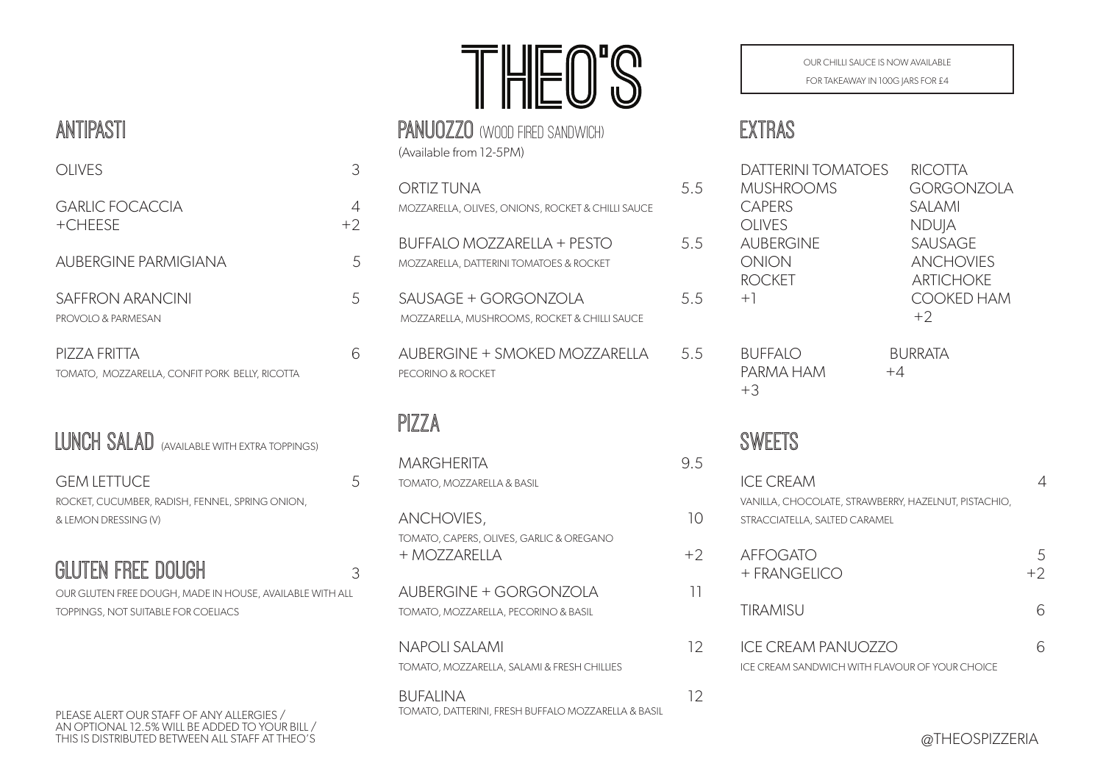## ANTIPASTI

| <b>OLIVES</b>                                                  |      |
|----------------------------------------------------------------|------|
| <b>GARLIC FOCACCIA</b><br>$+CHEESE$                            | $+2$ |
| AUBERGINE PARMIGIANA                                           | 5    |
| SAFFRON ARANCINI<br>PROVOLO & PARMESAN                         | 5    |
| PIZZA FRITTA<br>TOMATO, MOZZARELLA, CONFIT PORK BELLY, RICOTTA |      |

GEM LETTUCE 5 ROCKET, CUCUMBER, RADISH, FENNEL, SPRING ONION, & LEMON DRESSING (V)

GLUTEN FREE DOUGH 3 OUR GLUTEN FREE DOUGH, MADE IN HOUSE, AVAILABLE WITH ALL TOPPINGS, NOT SUITABLE FOR COELIACS

PLEASE ALERT OUR STAFF OF ANY ALLERGIES / AN OPTIONAL 12.5% WILL BE ADDED TO YOUR BILL / THIS IS DISTRIBUTED BETWEEN ALL STAFF AT THEO'S

PANUOZZO (WOOD FIRED SANDWICH) (Available from 12-5PM)

| ORTIZ TUNA<br>MOZZARELLA, OLIVES, ONIONS, ROCKET & CHILLI SAUCE              | 55 |
|------------------------------------------------------------------------------|----|
| <b>BUFFALO MOZZARELLA + PESTO</b><br>MOZZARELLA, DATTERINI TOMATOES & ROCKET | 55 |
| SAUSAGE + GORGONZOLA<br>MOZZARELLA, MUSHROOMS, ROCKET & CHILLI SAUCE         | 55 |
| AUBERGINE + SMOKED MOZZARELLA<br>PECORINO & ROCKET                           | 55 |
|                                                                              |    |

# PIZZA

| MARGHERITA<br>TOMATO, MOZZARELLA & BASIL                       | 95   |
|----------------------------------------------------------------|------|
| ANCHOVIES,                                                     | 10   |
| TOMATO, CAPERS, OLIVES, GARLIC & OREGANO<br>+ MOZZARELLA       | $+2$ |
| AUBERGINE + GORGONZOLA<br>TOMATO, MOZZARELLA, PECORINO & BASIL | 11   |
| NAPOLI SALAMI<br>TOMATO, MOZZARELLA, SALAMI & FRESH CHILLIES   | 12.  |
| BUFAHNA<br>TOMATO, DATTERINI, FRESH BUFFALO MOZZARELLA & BASIL | 12.  |

OUR CHILLI SAUCE IS NOW AVAILABLE

FOR TAKEAWAY IN 100G JARS FOR £4

# EXTRAS

| DATTERINI TOMATOES<br><b>MUSHROOMS</b><br><b>CAPERS</b><br><b>OLIVES</b><br><b>AUBERGINE</b><br><b>ONION</b><br><b>ROCKET</b><br>$+1$ | <b>RICOTTA</b><br><b>GORGONZOLA</b><br><b>SALAMI</b><br><b>NDUJA</b><br><b>SAUSAGE</b><br><b>ANCHOVIES</b><br><b>ARTICHOKE</b><br><b>COOKED HAM</b><br>$+2$ |           |
|---------------------------------------------------------------------------------------------------------------------------------------|-------------------------------------------------------------------------------------------------------------------------------------------------------------|-----------|
| <b>BUFFALO</b><br>PARMA HAM<br>$+4$<br>$+3$                                                                                           | <b>BURRATA</b>                                                                                                                                              |           |
| SWEETS                                                                                                                                |                                                                                                                                                             |           |
| <b>ICE CREAM</b><br>VANILLA, CHOCOLATE, STRAWBERRY, HAZELNUT, PISTACHIO,<br>STRACCIATELLA, SALTED CARAMEL                             |                                                                                                                                                             | 4         |
| <b>AFFOGATO</b><br>+ FRANGELICO                                                                                                       |                                                                                                                                                             | 5<br>$+2$ |
| <b>TIRAMISU</b>                                                                                                                       |                                                                                                                                                             | 6         |
| <b>ICE CREAM PANUOZZO</b><br>ICE CREAM SANDWICH WITH FLAVOUR OF YOUR CHOICE                                                           |                                                                                                                                                             | 6         |
|                                                                                                                                       |                                                                                                                                                             |           |

@THEOSPIZZERIA